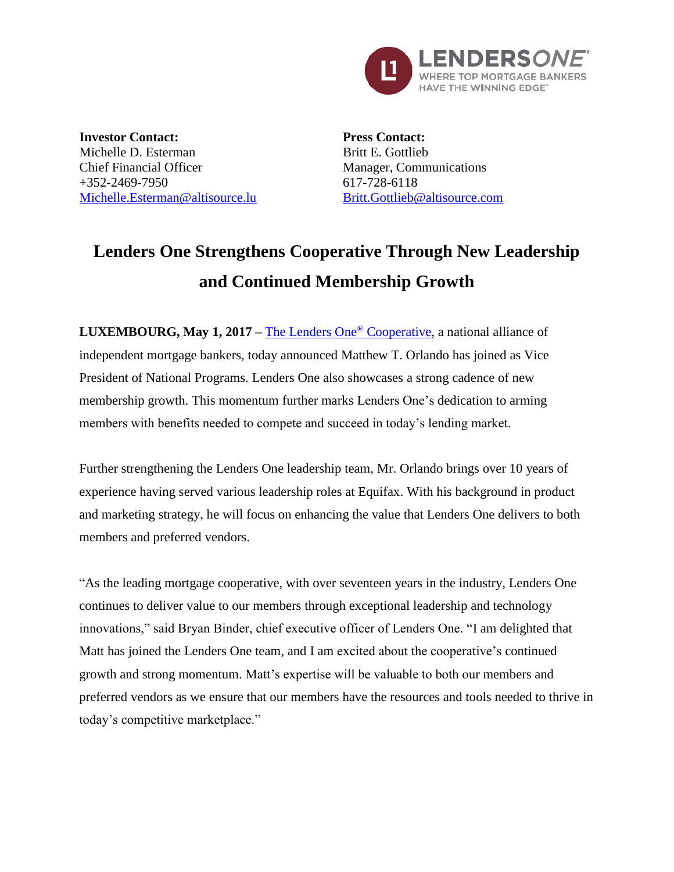

**Investor Contact:** Michelle D. Esterman Chief Financial Officer  $+352-2469-7950$ [Michelle.Esterman@altisource.lu](mailto:Michelle.Esterman@altisource.lu) **Press Contact:** Britt E. Gottlieb Manager, Communications 617-728-6118 [Britt.Gottlieb@altisource.com](mailto:Britt.Gottlieb@altisource.com)

## **Lenders One Strengthens Cooperative Through New Leadership and Continued Membership Growth**

**LUXEMBOURG, May 1, 2017 –** [The Lenders One](http://lendersone.com/?utm_campaign=L1Momentum&utm_source=PR&utm_medium=PR&utm_content=first)® Cooperative, a national alliance of independent mortgage bankers, today announced Matthew T. Orlando has joined as Vice President of National Programs. Lenders One also showcases a strong cadence of new membership growth. This momentum further marks Lenders One's dedication to arming members with benefits needed to compete and succeed in today's lending market.

Further strengthening the Lenders One leadership team, Mr. Orlando brings over 10 years of experience having served various leadership roles at Equifax. With his background in product and marketing strategy, he will focus on enhancing the value that Lenders One delivers to both members and preferred vendors.

"As the leading mortgage cooperative, with over seventeen years in the industry, Lenders One continues to deliver value to our members through exceptional leadership and technology innovations," said Bryan Binder, chief executive officer of Lenders One. "I am delighted that Matt has joined the Lenders One team, and I am excited about the cooperative's continued growth and strong momentum. Matt's expertise will be valuable to both our members and preferred vendors as we ensure that our members have the resources and tools needed to thrive in today's competitive marketplace."